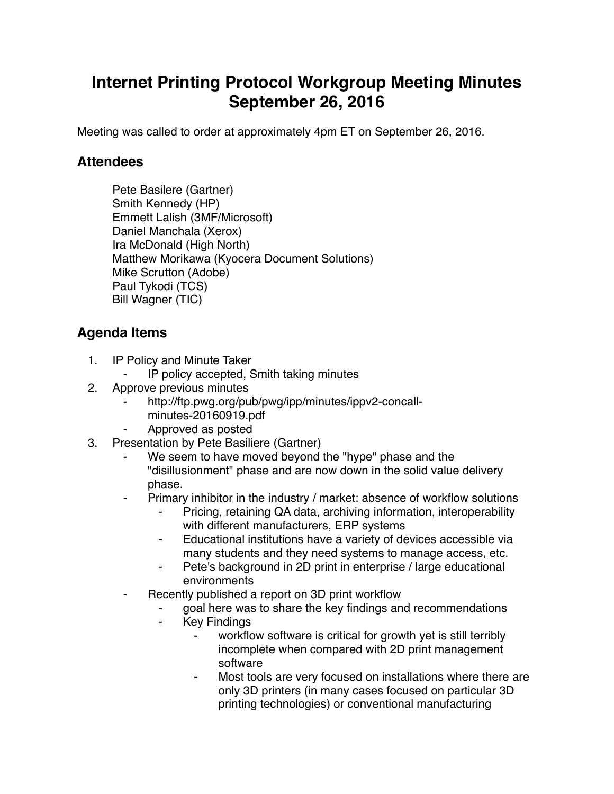## **Internet Printing Protocol Workgroup Meeting Minutes September 26, 2016**

Meeting was called to order at approximately 4pm ET on September 26, 2016.

## **Attendees**

Pete Basilere (Gartner) Smith Kennedy (HP) Emmett Lalish (3MF/Microsoft) Daniel Manchala (Xerox) Ira McDonald (High North) Matthew Morikawa (Kyocera Document Solutions) Mike Scrutton (Adobe) Paul Tykodi (TCS) Bill Wagner (TIC)

## **Agenda Items**

- 1. IP Policy and Minute Taker
	- IP policy accepted, Smith taking minutes
- 2. Approve previous minutes
	- http://ftp.pwg.org/pub/pwg/ipp/minutes/ippv2-concall
		- minutes-20160919.pdf
	- ⁃ Approved as posted
- 3. Presentation by Pete Basiliere (Gartner)
	- We seem to have moved beyond the "hype" phase and the "disillusionment" phase and are now down in the solid value delivery phase.
	- Primary inhibitor in the industry / market: absence of workflow solutions
		- Pricing, retaining QA data, archiving information, interoperability with different manufacturers, ERP systems
		- ⁃ Educational institutions have a variety of devices accessible via many students and they need systems to manage access, etc.
		- ⁃ Pete's background in 2D print in enterprise / large educational environments
		- Recently published a report on 3D print workflow
			- goal here was to share the key findings and recommendations
				- ⁃ Key Findings
					- workflow software is critical for growth yet is still terribly incomplete when compared with 2D print management software
					- Most tools are very focused on installations where there are only 3D printers (in many cases focused on particular 3D printing technologies) or conventional manufacturing